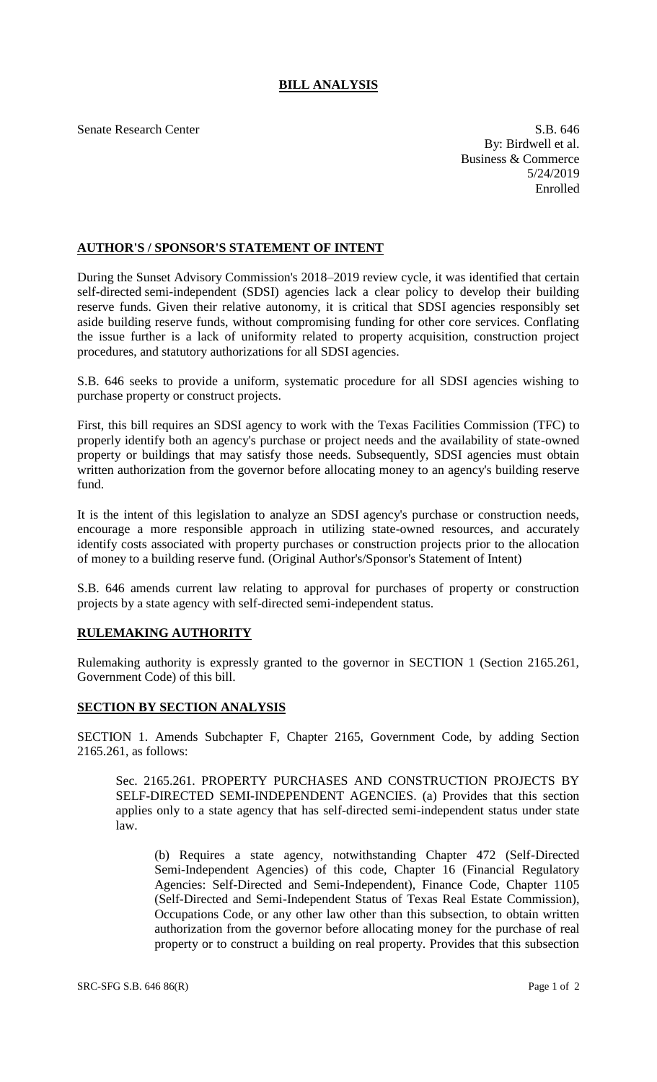## **BILL ANALYSIS**

Senate Research Center S.B. 646

By: Birdwell et al. Business & Commerce 5/24/2019 Enrolled

## **AUTHOR'S / SPONSOR'S STATEMENT OF INTENT**

During the Sunset Advisory Commission's 2018–2019 review cycle, it was identified that certain self-directed semi-independent (SDSI) agencies lack a clear policy to develop their building reserve funds. Given their relative autonomy, it is critical that SDSI agencies responsibly set aside building reserve funds, without compromising funding for other core services. Conflating the issue further is a lack of uniformity related to property acquisition, construction project procedures, and statutory authorizations for all SDSI agencies.

S.B. 646 seeks to provide a uniform, systematic procedure for all SDSI agencies wishing to purchase property or construct projects.

First, this bill requires an SDSI agency to work with the Texas Facilities Commission (TFC) to properly identify both an agency's purchase or project needs and the availability of state-owned property or buildings that may satisfy those needs. Subsequently, SDSI agencies must obtain written authorization from the governor before allocating money to an agency's building reserve fund.

It is the intent of this legislation to analyze an SDSI agency's purchase or construction needs, encourage a more responsible approach in utilizing state-owned resources, and accurately identify costs associated with property purchases or construction projects prior to the allocation of money to a building reserve fund. (Original Author's/Sponsor's Statement of Intent)

S.B. 646 amends current law relating to approval for purchases of property or construction projects by a state agency with self-directed semi-independent status.

## **RULEMAKING AUTHORITY**

Rulemaking authority is expressly granted to the governor in SECTION 1 (Section 2165.261, Government Code) of this bill.

## **SECTION BY SECTION ANALYSIS**

SECTION 1. Amends Subchapter F, Chapter 2165, Government Code, by adding Section 2165.261, as follows:

Sec. 2165.261. PROPERTY PURCHASES AND CONSTRUCTION PROJECTS BY SELF-DIRECTED SEMI-INDEPENDENT AGENCIES. (a) Provides that this section applies only to a state agency that has self-directed semi-independent status under state law.

(b) Requires a state agency, notwithstanding Chapter 472 (Self-Directed Semi-Independent Agencies) of this code, Chapter 16 (Financial Regulatory Agencies: Self-Directed and Semi-Independent), Finance Code, Chapter 1105 (Self-Directed and Semi-Independent Status of Texas Real Estate Commission), Occupations Code, or any other law other than this subsection, to obtain written authorization from the governor before allocating money for the purchase of real property or to construct a building on real property. Provides that this subsection